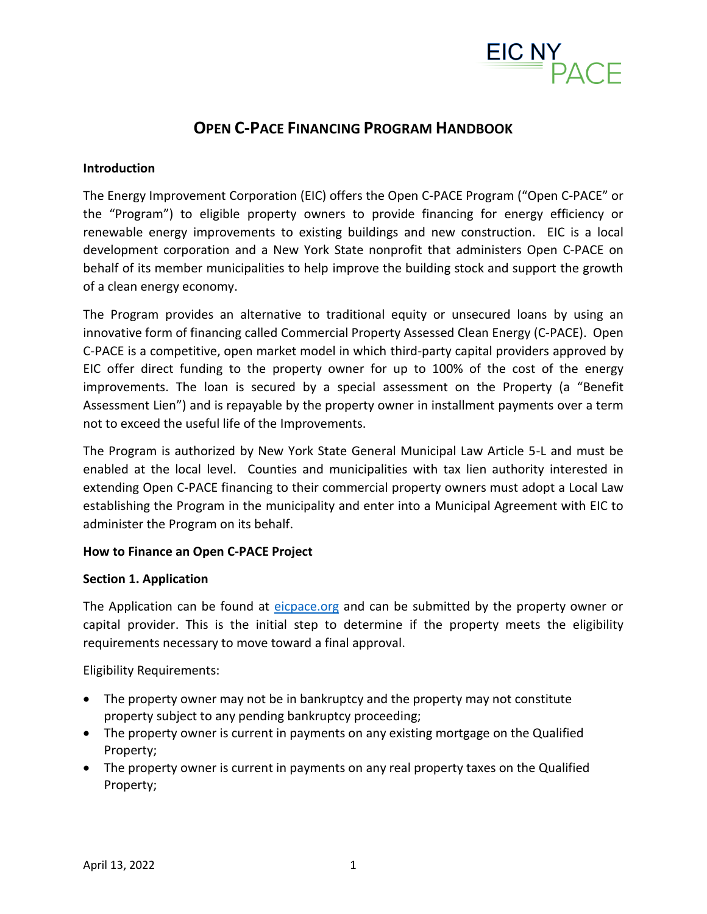

# **OPEN C-PACE FINANCING PROGRAM HANDBOOK**

#### **Introduction**

The Energy Improvement Corporation (EIC) offers the Open C-PACE Program ("Open C-PACE" or the "Program") to eligible property owners to provide financing for energy efficiency or renewable energy improvements to existing buildings and new construction. EIC is a local development corporation and a New York State nonprofit that administers Open C-PACE on behalf of its member municipalities to help improve the building stock and support the growth of a clean energy economy.

The Program provides an alternative to traditional equity or unsecured loans by using an innovative form of financing called Commercial Property Assessed Clean Energy (C-PACE). Open C-PACE is a competitive, open market model in which third-party capital providers approved by EIC offer direct funding to the property owner for up to 100% of the cost of the energy improvements. The loan is secured by a special assessment on the Property (a "Benefit Assessment Lien") and is repayable by the property owner in installment payments over a term not to exceed the useful life of the Improvements.

The Program is authorized by New York State General Municipal Law Article 5-L and must be enabled at the local level. Counties and municipalities with tax lien authority interested in extending Open C-PACE financing to their commercial property owners must adopt a Local Law establishing the Program in the municipality and enter into a Municipal Agreement with EIC to administer the Program on its behalf.

#### **How to Finance an Open C-PACE Project**

#### **Section 1. Application**

The Application can be found at [eicpace.org](https://www.eicpace.org/) and can be submitted by the property owner or capital provider. This is the initial step to determine if the property meets the eligibility requirements necessary to move toward a final approval.

Eligibility Requirements:

- The property owner may not be in bankruptcy and the property may not constitute property subject to any pending bankruptcy proceeding;
- The property owner is current in payments on any existing mortgage on the Qualified Property;
- The property owner is current in payments on any real property taxes on the Qualified Property;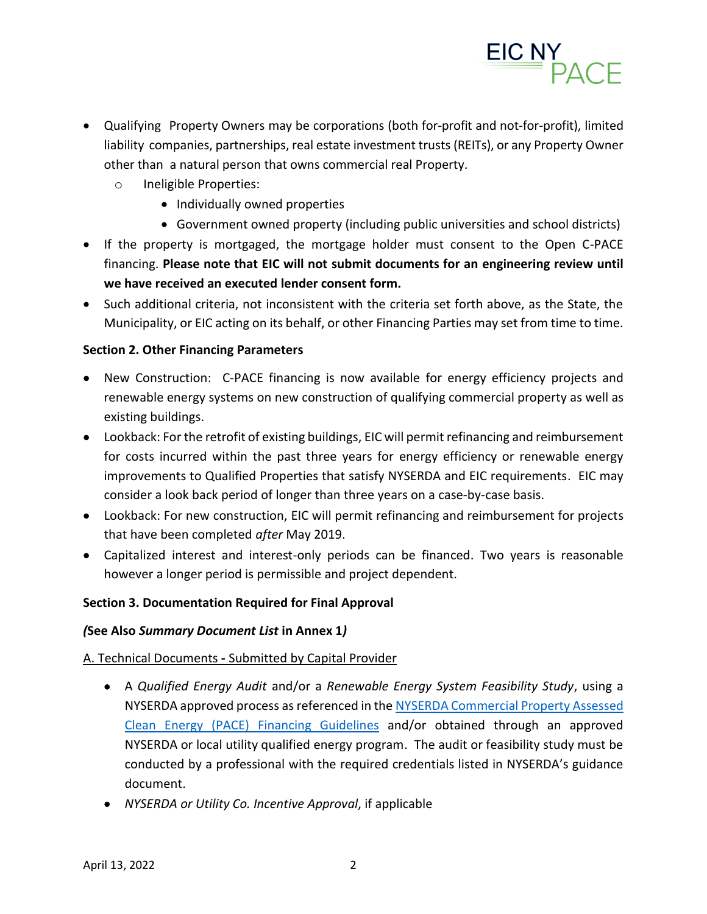

- Qualifying Property Owners may be corporations (both for-profit and not-for-profit), limited liability companies, partnerships, real estate investment trusts (REITs), or any Property Owner other than a natural person that owns commercial real Property.
	- o Ineligible Properties:
		- Individually owned properties
		- Government owned property (including public universities and school districts)
- If the property is mortgaged, the mortgage holder must consent to the Open C-PACE financing. **Please note that EIC will not submit documents for an engineering review until we have received an executed lender consent form.**
- Such additional criteria, not inconsistent with the criteria set forth above, as the State, the Municipality, or EIC acting on its behalf, or other Financing Parties may set from time to time.

#### **Section 2. Other Financing Parameters**

- New Construction: C-PACE financing is now available for energy efficiency projects and renewable energy systems on new construction of qualifying commercial property as well as existing buildings.
- Lookback: For the retrofit of existing buildings, EIC will permit refinancing and reimbursement for costs incurred within the past three years for energy efficiency or renewable energy improvements to Qualified Properties that satisfy NYSERDA and EIC requirements. EIC may consider a look back period of longer than three years on a case-by-case basis.
- Lookback: For new construction, EIC will permit refinancing and reimbursement for projects that have been completed *after* May 2019.
- Capitalized interest and interest-only periods can be financed. Two years is reasonable however a longer period is permissible and project dependent.

#### **Section 3. Documentation Required for Final Approval**

#### *(***See Also** *Summary Document List* **in Annex 1***)*

#### A. Technical Documents **-** Submitted by Capital Provider

- A *Qualified Energy Audit* and/or a *Renewable Energy System Feasibility Study*, using a NYSERDA approved process as referenced in th[e NYSERDA Commercial Property Assessed](https://www.nyserda.ny.gov/All%20Programs/Programs/Commercial%20Property%20Assessed%20Clean%20Energy)  [Clean Energy \(PACE\) Financing Guidelines](https://www.nyserda.ny.gov/All%20Programs/Programs/Commercial%20Property%20Assessed%20Clean%20Energy) and/or obtained through an approved NYSERDA or local utility qualified energy program. The audit or feasibility study must be conducted by a professional with the required credentials listed in NYSERDA's guidance document.
- *NYSERDA or Utility Co. Incentive Approval*, if applicable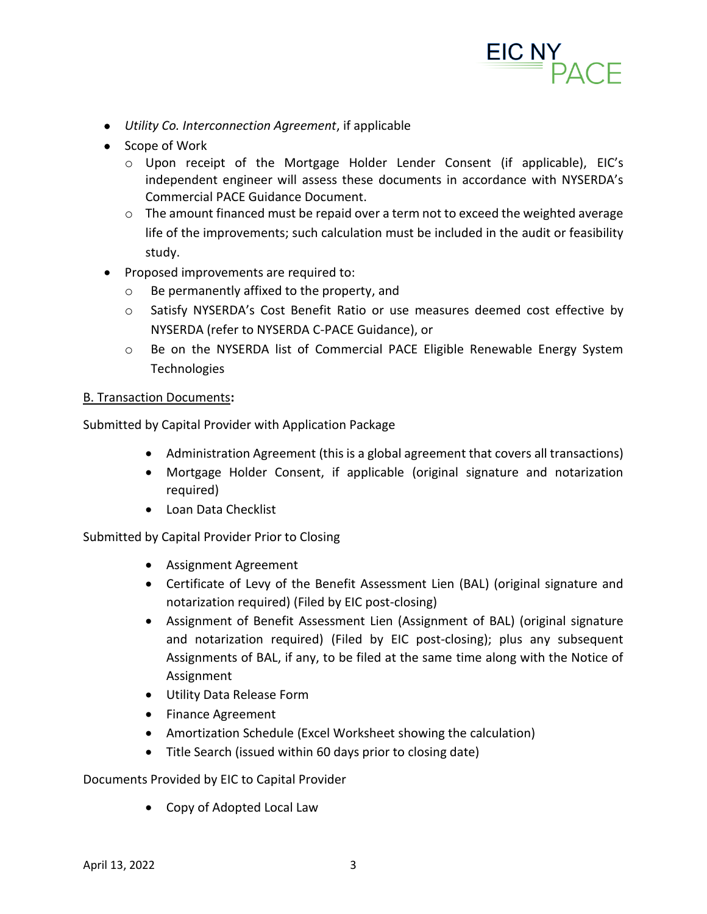

- *Utility Co. Interconnection Agreement*, if applicable
- Scope of Work
	- o Upon receipt of the Mortgage Holder Lender Consent (if applicable), EIC's independent engineer will assess these documents in accordance with NYSERDA's Commercial PACE Guidance Document.
	- $\circ$  The amount financed must be repaid over a term not to exceed the weighted average life of the improvements; such calculation must be included in the audit or feasibility study.
- Proposed improvements are required to:
	- o Be permanently affixed to the property, and
	- o Satisfy NYSERDA's Cost Benefit Ratio or use measures deemed cost effective by NYSERDA (refer to NYSERDA C-PACE Guidance), or
	- o Be on the NYSERDA list of Commercial PACE Eligible Renewable Energy System **Technologies**

#### B. Transaction Documents**:**

Submitted by Capital Provider with Application Package

- Administration Agreement (this is a global agreement that covers all transactions)
- Mortgage Holder Consent, if applicable (original signature and notarization required)
- Loan Data Checklist

Submitted by Capital Provider Prior to Closing

- Assignment Agreement
- Certificate of Levy of the Benefit Assessment Lien (BAL) (original signature and notarization required) (Filed by EIC post-closing)
- Assignment of Benefit Assessment Lien (Assignment of BAL) (original signature and notarization required) (Filed by EIC post-closing); plus any subsequent Assignments of BAL, if any, to be filed at the same time along with the Notice of Assignment
- Utility Data Release Form
- Finance Agreement
- Amortization Schedule (Excel Worksheet showing the calculation)
- Title Search (issued within 60 days prior to closing date)

#### Documents Provided by EIC to Capital Provider

• Copy of Adopted Local Law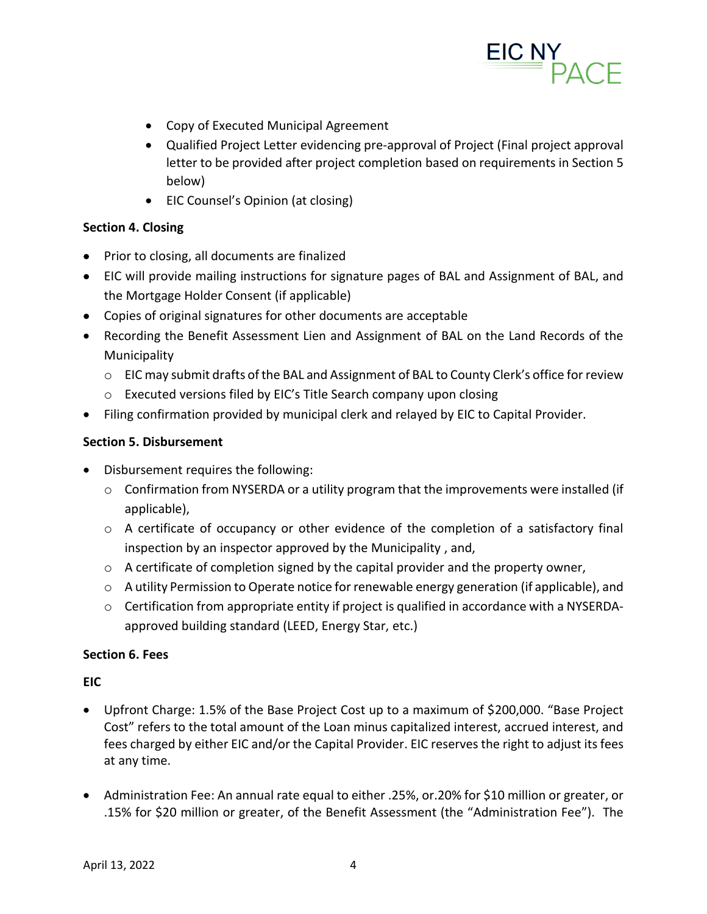

- Copy of Executed Municipal Agreement
- Qualified Project Letter evidencing pre-approval of Project (Final project approval letter to be provided after project completion based on requirements in Section 5 below)
- EIC Counsel's Opinion (at closing)

# **Section 4. Closing**

- Prior to closing, all documents are finalized
- EIC will provide mailing instructions for signature pages of BAL and Assignment of BAL, and the Mortgage Holder Consent (if applicable)
- Copies of original signatures for other documents are acceptable
- Recording the Benefit Assessment Lien and Assignment of BAL on the Land Records of the Municipality
	- o EIC may submit drafts of the BAL and Assignment of BAL to County Clerk's office for review
	- o Executed versions filed by EIC's Title Search company upon closing
- Filing confirmation provided by municipal clerk and relayed by EIC to Capital Provider.

### **Section 5. Disbursement**

- Disbursement requires the following:
	- $\circ$  Confirmation from NYSERDA or a utility program that the improvements were installed (if applicable),
	- $\circ$  A certificate of occupancy or other evidence of the completion of a satisfactory final inspection by an inspector approved by the Municipality , and,
	- $\circ$  A certificate of completion signed by the capital provider and the property owner,
	- o A utility Permission to Operate notice for renewable energy generation (if applicable), and
	- $\circ$  Certification from appropriate entity if project is qualified in accordance with a NYSERDAapproved building standard (LEED, Energy Star, etc.)

# **Section 6. Fees**

# **EIC**

- Upfront Charge: 1.5% of the Base Project Cost up to a maximum of \$200,000. "Base Project Cost" refers to the total amount of the Loan minus capitalized interest, accrued interest, and fees charged by either EIC and/or the Capital Provider. EIC reserves the right to adjust its fees at any time.
- Administration Fee: An annual rate equal to either .25%, or.20% for \$10 million or greater, or .15% for \$20 million or greater, of the Benefit Assessment (the "Administration Fee"). The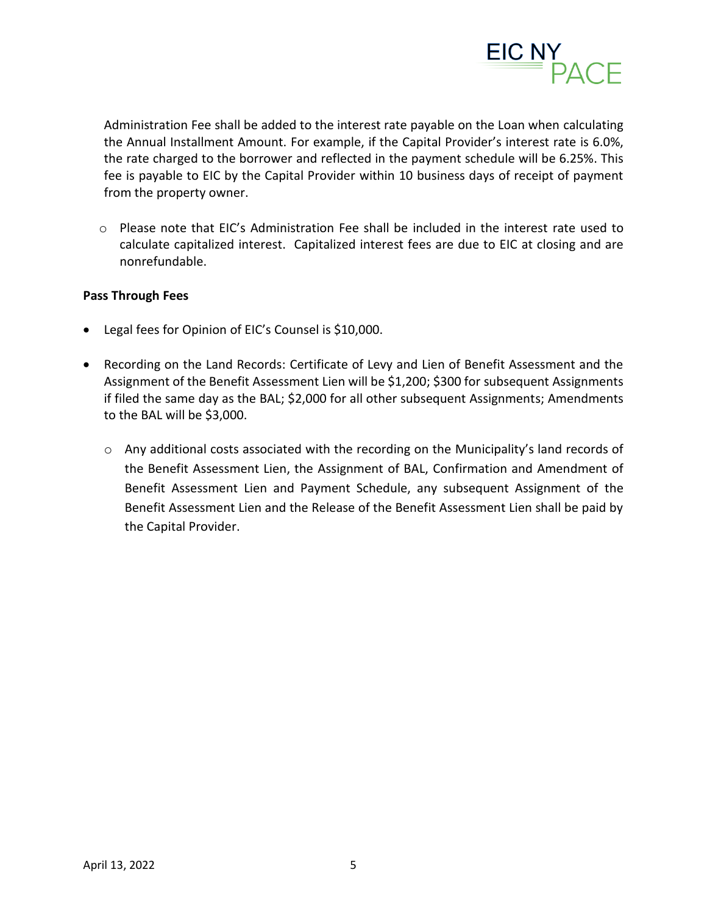

Administration Fee shall be added to the interest rate payable on the Loan when calculating the Annual Installment Amount. For example, if the Capital Provider's interest rate is 6.0%, the rate charged to the borrower and reflected in the payment schedule will be 6.25%. This fee is payable to EIC by the Capital Provider within 10 business days of receipt of payment from the property owner.

 $\circ$  Please note that EIC's Administration Fee shall be included in the interest rate used to calculate capitalized interest. Capitalized interest fees are due to EIC at closing and are nonrefundable.

#### **Pass Through Fees**

- Legal fees for Opinion of EIC's Counsel is \$10,000.
- Recording on the Land Records: Certificate of Levy and Lien of Benefit Assessment and the Assignment of the Benefit Assessment Lien will be \$1,200; \$300 for subsequent Assignments if filed the same day as the BAL; \$2,000 for all other subsequent Assignments; Amendments to the BAL will be \$3,000.
	- $\circ$  Any additional costs associated with the recording on the Municipality's land records of the Benefit Assessment Lien, the Assignment of BAL, Confirmation and Amendment of Benefit Assessment Lien and Payment Schedule, any subsequent Assignment of the Benefit Assessment Lien and the Release of the Benefit Assessment Lien shall be paid by the Capital Provider.